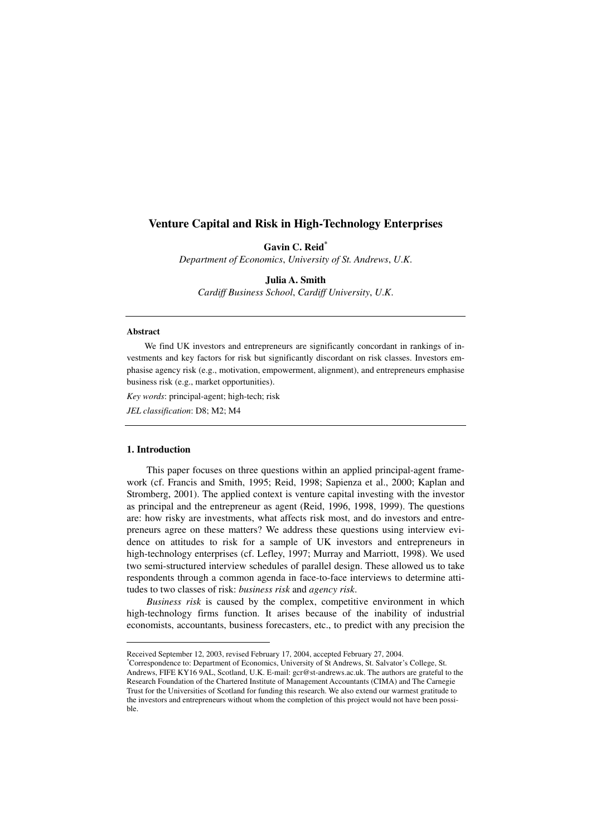# **Venture Capital and Risk in High-Technology Enterprises**

**Gavin C. Reid\***

*Department of Economics*, *University of St. Andrews*, *U*.*K*.

**Julia A. Smith** 

*Cardiff Business School*, *Cardiff University*, *U*.*K*.

### **Abstract**

We find UK investors and entrepreneurs are significantly concordant in rankings of investments and key factors for risk but significantly discordant on risk classes. Investors emphasise agency risk (e.g., motivation, empowerment, alignment), and entrepreneurs emphasise business risk (e.g., market opportunities).

*Key words*: principal-agent; high-tech; risk

*JEL classification*: D8; M2; M4

# **1. Introduction**

 $\overline{a}$ 

This paper focuses on three questions within an applied principal-agent framework (cf. Francis and Smith, 1995; Reid, 1998; Sapienza et al., 2000; Kaplan and Stromberg, 2001). The applied context is venture capital investing with the investor as principal and the entrepreneur as agent (Reid, 1996, 1998, 1999). The questions are: how risky are investments, what affects risk most, and do investors and entrepreneurs agree on these matters? We address these questions using interview evidence on attitudes to risk for a sample of UK investors and entrepreneurs in high-technology enterprises (cf. Lefley, 1997; Murray and Marriott, 1998). We used two semi-structured interview schedules of parallel design. These allowed us to take respondents through a common agenda in face-to-face interviews to determine attitudes to two classes of risk: *business risk* and *agency risk*.

*Business risk* is caused by the complex, competitive environment in which high-technology firms function. It arises because of the inability of industrial economists, accountants, business forecasters, etc., to predict with any precision the

Received September 12, 2003, revised February 17, 2004, accepted February 27, 2004.

<sup>\*</sup>Correspondence to: Department of Economics, University of St Andrews, St. Salvator's College, St. Andrews, FIFE KY16 9AL, Scotland, U.K. E-mail: gcr@st-andrews.ac.uk. The authors are grateful to the Research Foundation of the Chartered Institute of Management Accountants (CIMA) and The Carnegie Trust for the Universities of Scotland for funding this research. We also extend our warmest gratitude to the investors and entrepreneurs without whom the completion of this project would not have been possible.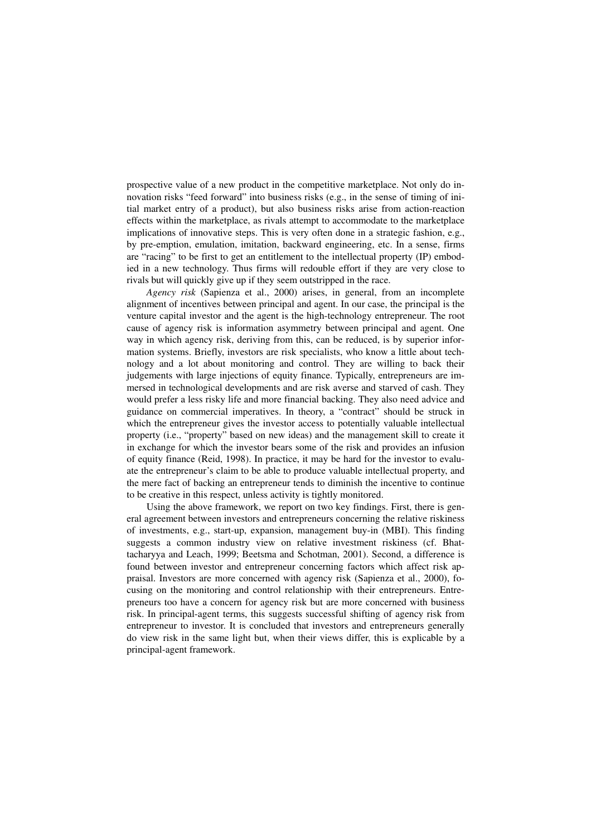prospective value of a new product in the competitive marketplace. Not only do innovation risks "feed forward" into business risks (e.g., in the sense of timing of initial market entry of a product), but also business risks arise from action-reaction effects within the marketplace, as rivals attempt to accommodate to the marketplace implications of innovative steps. This is very often done in a strategic fashion, e.g., by pre-emption, emulation, imitation, backward engineering, etc. In a sense, firms are "racing" to be first to get an entitlement to the intellectual property (IP) embodied in a new technology. Thus firms will redouble effort if they are very close to rivals but will quickly give up if they seem outstripped in the race.

*Agency risk* (Sapienza et al., 2000) arises, in general, from an incomplete alignment of incentives between principal and agent. In our case, the principal is the venture capital investor and the agent is the high-technology entrepreneur. The root cause of agency risk is information asymmetry between principal and agent. One way in which agency risk, deriving from this, can be reduced, is by superior information systems. Briefly, investors are risk specialists, who know a little about technology and a lot about monitoring and control. They are willing to back their judgements with large injections of equity finance. Typically, entrepreneurs are immersed in technological developments and are risk averse and starved of cash. They would prefer a less risky life and more financial backing. They also need advice and guidance on commercial imperatives. In theory, a "contract" should be struck in which the entrepreneur gives the investor access to potentially valuable intellectual property (i.e., "property" based on new ideas) and the management skill to create it in exchange for which the investor bears some of the risk and provides an infusion of equity finance (Reid, 1998). In practice, it may be hard for the investor to evaluate the entrepreneur's claim to be able to produce valuable intellectual property, and the mere fact of backing an entrepreneur tends to diminish the incentive to continue to be creative in this respect, unless activity is tightly monitored.

Using the above framework, we report on two key findings. First, there is general agreement between investors and entrepreneurs concerning the relative riskiness of investments, e.g., start-up, expansion, management buy-in (MBI). This finding suggests a common industry view on relative investment riskiness (cf. Bhattacharyya and Leach, 1999; Beetsma and Schotman, 2001). Second, a difference is found between investor and entrepreneur concerning factors which affect risk appraisal. Investors are more concerned with agency risk (Sapienza et al., 2000), focusing on the monitoring and control relationship with their entrepreneurs. Entrepreneurs too have a concern for agency risk but are more concerned with business risk. In principal-agent terms, this suggests successful shifting of agency risk from entrepreneur to investor. It is concluded that investors and entrepreneurs generally do view risk in the same light but, when their views differ, this is explicable by a principal-agent framework.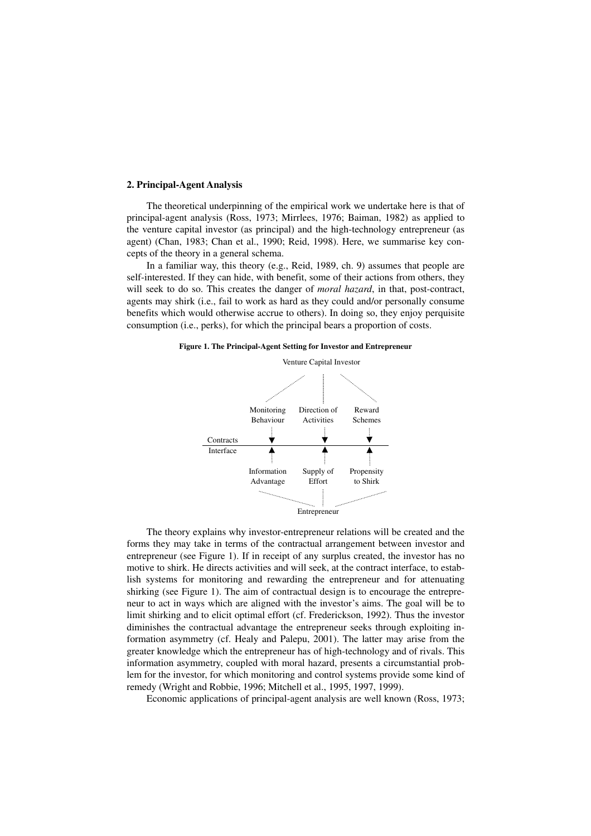#### **2. Principal-Agent Analysis**

The theoretical underpinning of the empirical work we undertake here is that of principal-agent analysis (Ross, 1973; Mirrlees, 1976; Baiman, 1982) as applied to the venture capital investor (as principal) and the high-technology entrepreneur (as agent) (Chan, 1983; Chan et al., 1990; Reid, 1998). Here, we summarise key concepts of the theory in a general schema.

In a familiar way, this theory (e.g., Reid, 1989, ch. 9) assumes that people are self-interested. If they can hide, with benefit, some of their actions from others, they will seek to do so. This creates the danger of *moral hazard*, in that, post-contract, agents may shirk (i.e., fail to work as hard as they could and/or personally consume benefits which would otherwise accrue to others). In doing so, they enjoy perquisite consumption (i.e., perks), for which the principal bears a proportion of costs.





The theory explains why investor-entrepreneur relations will be created and the forms they may take in terms of the contractual arrangement between investor and entrepreneur (see Figure 1). If in receipt of any surplus created, the investor has no motive to shirk. He directs activities and will seek, at the contract interface, to establish systems for monitoring and rewarding the entrepreneur and for attenuating shirking (see Figure 1). The aim of contractual design is to encourage the entrepreneur to act in ways which are aligned with the investor's aims. The goal will be to limit shirking and to elicit optimal effort (cf. Frederickson, 1992). Thus the investor diminishes the contractual advantage the entrepreneur seeks through exploiting information asymmetry (cf. Healy and Palepu, 2001). The latter may arise from the greater knowledge which the entrepreneur has of high-technology and of rivals. This information asymmetry, coupled with moral hazard, presents a circumstantial problem for the investor, for which monitoring and control systems provide some kind of remedy (Wright and Robbie, 1996; Mitchell et al., 1995, 1997, 1999).

Economic applications of principal-agent analysis are well known (Ross, 1973;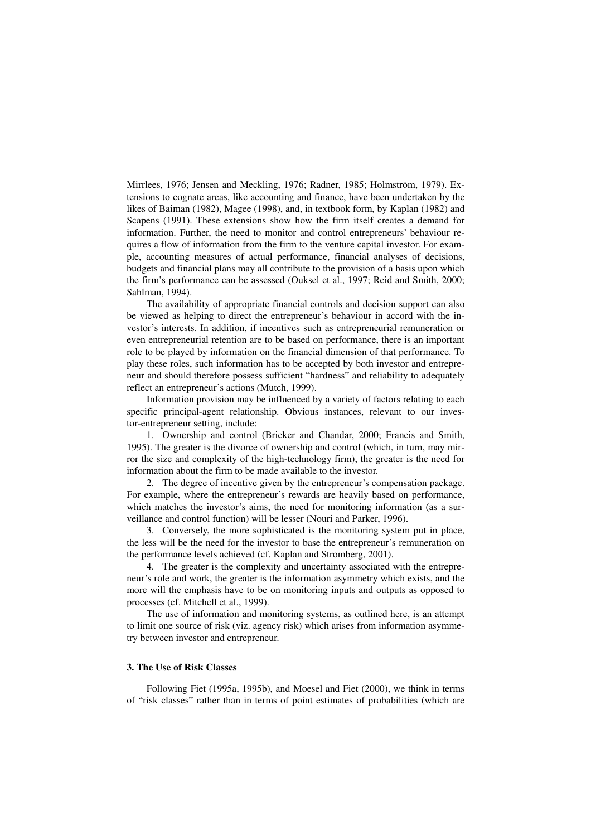Mirrlees, 1976; Jensen and Meckling, 1976; Radner, 1985; Holmström, 1979). Extensions to cognate areas, like accounting and finance, have been undertaken by the likes of Baiman (1982), Magee (1998), and, in textbook form, by Kaplan (1982) and Scapens (1991). These extensions show how the firm itself creates a demand for information. Further, the need to monitor and control entrepreneurs' behaviour requires a flow of information from the firm to the venture capital investor. For example, accounting measures of actual performance, financial analyses of decisions, budgets and financial plans may all contribute to the provision of a basis upon which the firm's performance can be assessed (Ouksel et al., 1997; Reid and Smith, 2000; Sahlman, 1994).

The availability of appropriate financial controls and decision support can also be viewed as helping to direct the entrepreneur's behaviour in accord with the investor's interests. In addition, if incentives such as entrepreneurial remuneration or even entrepreneurial retention are to be based on performance, there is an important role to be played by information on the financial dimension of that performance. To play these roles, such information has to be accepted by both investor and entrepreneur and should therefore possess sufficient "hardness" and reliability to adequately reflect an entrepreneur's actions (Mutch, 1999).

Information provision may be influenced by a variety of factors relating to each specific principal-agent relationship. Obvious instances, relevant to our investor-entrepreneur setting, include:

1. Ownership and control (Bricker and Chandar, 2000; Francis and Smith, 1995). The greater is the divorce of ownership and control (which, in turn, may mirror the size and complexity of the high-technology firm), the greater is the need for information about the firm to be made available to the investor.

2. The degree of incentive given by the entrepreneur's compensation package. For example, where the entrepreneur's rewards are heavily based on performance, which matches the investor's aims, the need for monitoring information (as a surveillance and control function) will be lesser (Nouri and Parker, 1996).

3. Conversely, the more sophisticated is the monitoring system put in place, the less will be the need for the investor to base the entrepreneur's remuneration on the performance levels achieved (cf. Kaplan and Stromberg, 2001).

4. The greater is the complexity and uncertainty associated with the entrepreneur's role and work, the greater is the information asymmetry which exists, and the more will the emphasis have to be on monitoring inputs and outputs as opposed to processes (cf. Mitchell et al., 1999).

The use of information and monitoring systems, as outlined here, is an attempt to limit one source of risk (viz. agency risk) which arises from information asymmetry between investor and entrepreneur.

### **3. The Use of Risk Classes**

Following Fiet (1995a, 1995b), and Moesel and Fiet (2000), we think in terms of "risk classes" rather than in terms of point estimates of probabilities (which are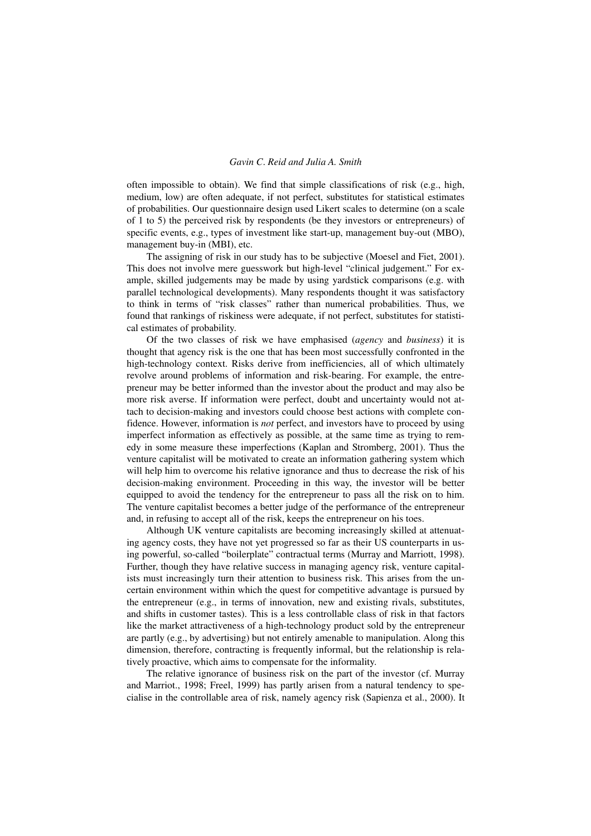# *Gavin C*. *Reid and Julia A. Smith*

often impossible to obtain). We find that simple classifications of risk (e.g., high, medium, low) are often adequate, if not perfect, substitutes for statistical estimates of probabilities. Our questionnaire design used Likert scales to determine (on a scale of 1 to 5) the perceived risk by respondents (be they investors or entrepreneurs) of specific events, e.g., types of investment like start-up, management buy-out (MBO), management buy-in (MBI), etc.

The assigning of risk in our study has to be subjective (Moesel and Fiet, 2001). This does not involve mere guesswork but high-level "clinical judgement." For example, skilled judgements may be made by using yardstick comparisons (e.g. with parallel technological developments). Many respondents thought it was satisfactory to think in terms of "risk classes" rather than numerical probabilities. Thus, we found that rankings of riskiness were adequate, if not perfect, substitutes for statistical estimates of probability.

Of the two classes of risk we have emphasised (*agency* and *business*) it is thought that agency risk is the one that has been most successfully confronted in the high-technology context. Risks derive from inefficiencies, all of which ultimately revolve around problems of information and risk-bearing. For example, the entrepreneur may be better informed than the investor about the product and may also be more risk averse. If information were perfect, doubt and uncertainty would not attach to decision-making and investors could choose best actions with complete confidence. However, information is *not* perfect, and investors have to proceed by using imperfect information as effectively as possible, at the same time as trying to remedy in some measure these imperfections (Kaplan and Stromberg, 2001). Thus the venture capitalist will be motivated to create an information gathering system which will help him to overcome his relative ignorance and thus to decrease the risk of his decision-making environment. Proceeding in this way, the investor will be better equipped to avoid the tendency for the entrepreneur to pass all the risk on to him. The venture capitalist becomes a better judge of the performance of the entrepreneur and, in refusing to accept all of the risk, keeps the entrepreneur on his toes.

Although UK venture capitalists are becoming increasingly skilled at attenuating agency costs, they have not yet progressed so far as their US counterparts in using powerful, so-called "boilerplate" contractual terms (Murray and Marriott, 1998). Further, though they have relative success in managing agency risk, venture capitalists must increasingly turn their attention to business risk. This arises from the uncertain environment within which the quest for competitive advantage is pursued by the entrepreneur (e.g., in terms of innovation, new and existing rivals, substitutes, and shifts in customer tastes). This is a less controllable class of risk in that factors like the market attractiveness of a high-technology product sold by the entrepreneur are partly (e.g., by advertising) but not entirely amenable to manipulation. Along this dimension, therefore, contracting is frequently informal, but the relationship is relatively proactive, which aims to compensate for the informality.

The relative ignorance of business risk on the part of the investor (cf. Murray and Marriot., 1998; Freel, 1999) has partly arisen from a natural tendency to specialise in the controllable area of risk, namely agency risk (Sapienza et al., 2000). It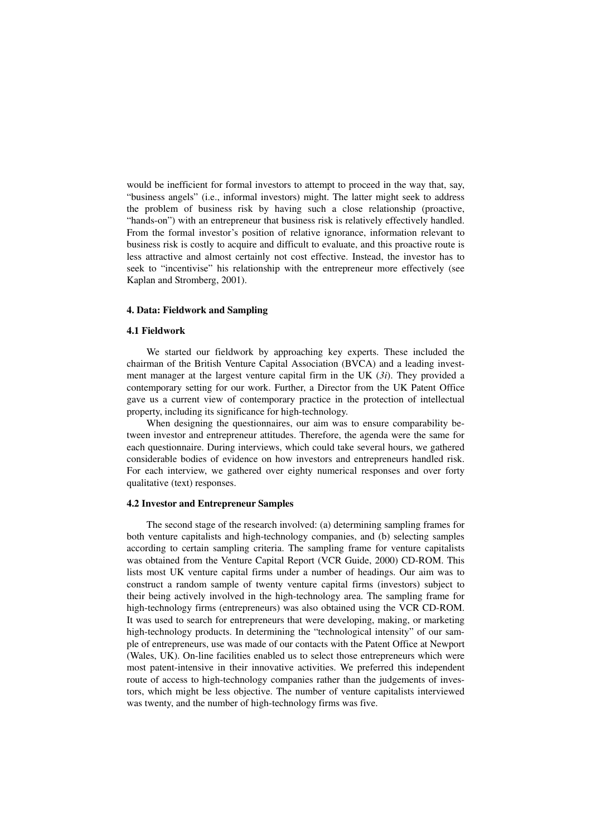would be inefficient for formal investors to attempt to proceed in the way that, say, "business angels" (i.e., informal investors) might. The latter might seek to address the problem of business risk by having such a close relationship (proactive, "hands-on") with an entrepreneur that business risk is relatively effectively handled. From the formal investor's position of relative ignorance, information relevant to business risk is costly to acquire and difficult to evaluate, and this proactive route is less attractive and almost certainly not cost effective. Instead, the investor has to seek to "incentivise" his relationship with the entrepreneur more effectively (see Kaplan and Stromberg, 2001).

## **4. Data: Fieldwork and Sampling**

### **4.1 Fieldwork**

We started our fieldwork by approaching key experts. These included the chairman of the British Venture Capital Association (BVCA) and a leading investment manager at the largest venture capital firm in the UK (*3i*). They provided a contemporary setting for our work. Further, a Director from the UK Patent Office gave us a current view of contemporary practice in the protection of intellectual property, including its significance for high-technology.

When designing the questionnaires, our aim was to ensure comparability between investor and entrepreneur attitudes. Therefore, the agenda were the same for each questionnaire. During interviews, which could take several hours, we gathered considerable bodies of evidence on how investors and entrepreneurs handled risk. For each interview, we gathered over eighty numerical responses and over forty qualitative (text) responses.

### **4.2 Investor and Entrepreneur Samples**

The second stage of the research involved: (a) determining sampling frames for both venture capitalists and high-technology companies, and (b) selecting samples according to certain sampling criteria. The sampling frame for venture capitalists was obtained from the Venture Capital Report (VCR Guide, 2000) CD-ROM. This lists most UK venture capital firms under a number of headings. Our aim was to construct a random sample of twenty venture capital firms (investors) subject to their being actively involved in the high-technology area. The sampling frame for high-technology firms (entrepreneurs) was also obtained using the VCR CD-ROM. It was used to search for entrepreneurs that were developing, making, or marketing high-technology products. In determining the "technological intensity" of our sample of entrepreneurs, use was made of our contacts with the Patent Office at Newport (Wales, UK). On-line facilities enabled us to select those entrepreneurs which were most patent-intensive in their innovative activities. We preferred this independent route of access to high-technology companies rather than the judgements of investors, which might be less objective. The number of venture capitalists interviewed was twenty, and the number of high-technology firms was five.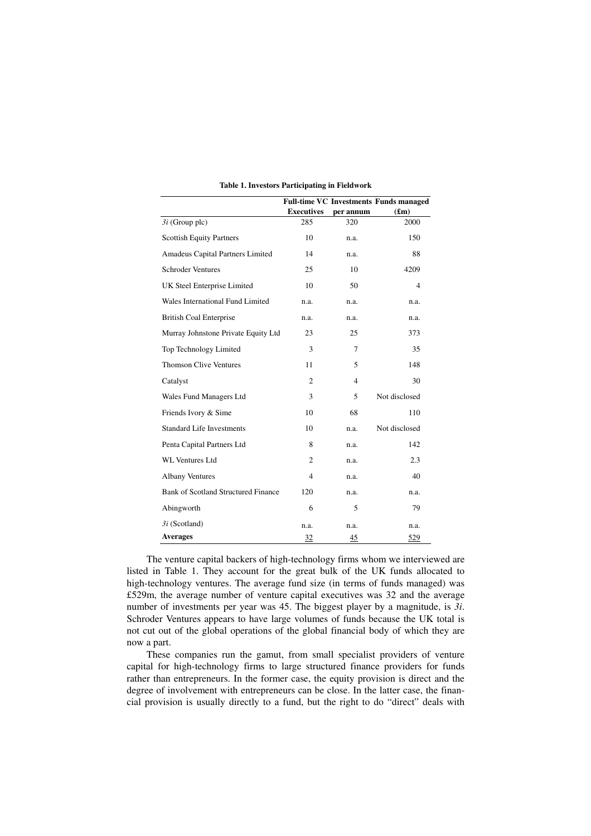|                                            |                   |                | <b>Full-time VC Investments Funds managed</b> |
|--------------------------------------------|-------------------|----------------|-----------------------------------------------|
|                                            | <b>Executives</b> | per annum      | (f.m)                                         |
| $3i$ (Group plc)                           | 285               | 320            | 2000                                          |
| <b>Scottish Equity Partners</b>            | 10                | n.a.           | 150                                           |
| Amadeus Capital Partners Limited           | 14                | n.a.           | 88                                            |
| <b>Schroder Ventures</b>                   | 25                | 10             | 4209                                          |
| UK Steel Enterprise Limited                | 10                | 50             | 4                                             |
| Wales International Fund Limited           | n.a.              | n.a.           | n.a.                                          |
| <b>British Coal Enterprise</b>             | n.a.              | n.a.           | n.a.                                          |
| Murray Johnstone Private Equity Ltd        | 23                | 25             | 373                                           |
| Top Technology Limited                     | 3                 | 7              | 35                                            |
| <b>Thomson Clive Ventures</b>              | 11                | 5              | 148                                           |
| Catalyst                                   | $\overline{c}$    | $\overline{4}$ | 30                                            |
| Wales Fund Managers Ltd                    | 3                 | 5              | Not disclosed                                 |
| Friends Ivory & Sime                       | 10                | 68             | 110                                           |
| <b>Standard Life Investments</b>           | 10                | n.a.           | Not disclosed                                 |
| Penta Capital Partners Ltd                 | 8                 | n.a.           | 142                                           |
| <b>WL Ventures Ltd</b>                     | 2                 | n.a.           | 2.3                                           |
| <b>Albany Ventures</b>                     | 4                 | n.a.           | 40                                            |
| <b>Bank of Scotland Structured Finance</b> | 120               | n.a.           | n.a.                                          |
| Abingworth                                 | 6                 | 5              | 79                                            |
| $3i$ (Scotland)                            | n.a.              | n.a.           | n.a.                                          |
| <b>Averages</b>                            | $\frac{32}{2}$    | 45             | 529                                           |

|  | Table 1. Investors Participating in Fieldwork |  |
|--|-----------------------------------------------|--|

The venture capital backers of high-technology firms whom we interviewed are listed in Table 1. They account for the great bulk of the UK funds allocated to high-technology ventures. The average fund size (in terms of funds managed) was £529m, the average number of venture capital executives was 32 and the average number of investments per year was 45. The biggest player by a magnitude, is *3i*. Schroder Ventures appears to have large volumes of funds because the UK total is not cut out of the global operations of the global financial body of which they are now a part.

These companies run the gamut, from small specialist providers of venture capital for high-technology firms to large structured finance providers for funds rather than entrepreneurs. In the former case, the equity provision is direct and the degree of involvement with entrepreneurs can be close. In the latter case, the financial provision is usually directly to a fund, but the right to do "direct" deals with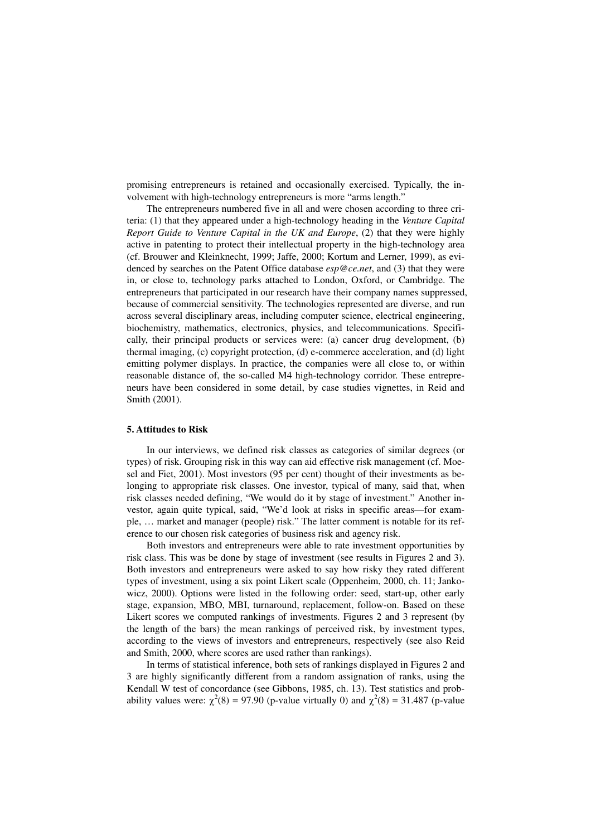promising entrepreneurs is retained and occasionally exercised. Typically, the involvement with high-technology entrepreneurs is more "arms length."

The entrepreneurs numbered five in all and were chosen according to three criteria: (1) that they appeared under a high-technology heading in the *Venture Capital Report Guide to Venture Capital in the UK and Europe*, (2) that they were highly active in patenting to protect their intellectual property in the high-technology area (cf. Brouwer and Kleinknecht, 1999; Jaffe, 2000; Kortum and Lerner, 1999), as evidenced by searches on the Patent Office database *esp@ce.net*, and (3) that they were in, or close to, technology parks attached to London, Oxford, or Cambridge. The entrepreneurs that participated in our research have their company names suppressed, because of commercial sensitivity. The technologies represented are diverse, and run across several disciplinary areas, including computer science, electrical engineering, biochemistry, mathematics, electronics, physics, and telecommunications. Specifically, their principal products or services were: (a) cancer drug development, (b) thermal imaging, (c) copyright protection, (d) e-commerce acceleration, and (d) light emitting polymer displays. In practice, the companies were all close to, or within reasonable distance of, the so-called M4 high-technology corridor. These entrepreneurs have been considered in some detail, by case studies vignettes, in Reid and Smith (2001).

#### **5. Attitudes to Risk**

In our interviews, we defined risk classes as categories of similar degrees (or types) of risk. Grouping risk in this way can aid effective risk management (cf. Moesel and Fiet, 2001). Most investors (95 per cent) thought of their investments as belonging to appropriate risk classes. One investor, typical of many, said that, when risk classes needed defining, "We would do it by stage of investment." Another investor, again quite typical, said, "We'd look at risks in specific areas—for example, … market and manager (people) risk." The latter comment is notable for its reference to our chosen risk categories of business risk and agency risk.

Both investors and entrepreneurs were able to rate investment opportunities by risk class. This was be done by stage of investment (see results in Figures 2 and 3). Both investors and entrepreneurs were asked to say how risky they rated different types of investment, using a six point Likert scale (Oppenheim, 2000, ch. 11; Jankowicz, 2000). Options were listed in the following order: seed, start-up, other early stage, expansion, MBO, MBI, turnaround, replacement, follow-on. Based on these Likert scores we computed rankings of investments. Figures 2 and 3 represent (by the length of the bars) the mean rankings of perceived risk, by investment types, according to the views of investors and entrepreneurs, respectively (see also Reid and Smith, 2000, where scores are used rather than rankings).

In terms of statistical inference, both sets of rankings displayed in Figures 2 and 3 are highly significantly different from a random assignation of ranks, using the Kendall W test of concordance (see Gibbons, 1985, ch. 13). Test statistics and probability values were:  $\chi^2(8) = 97.90$  (p-value virtually 0) and  $\chi^2(8) = 31.487$  (p-value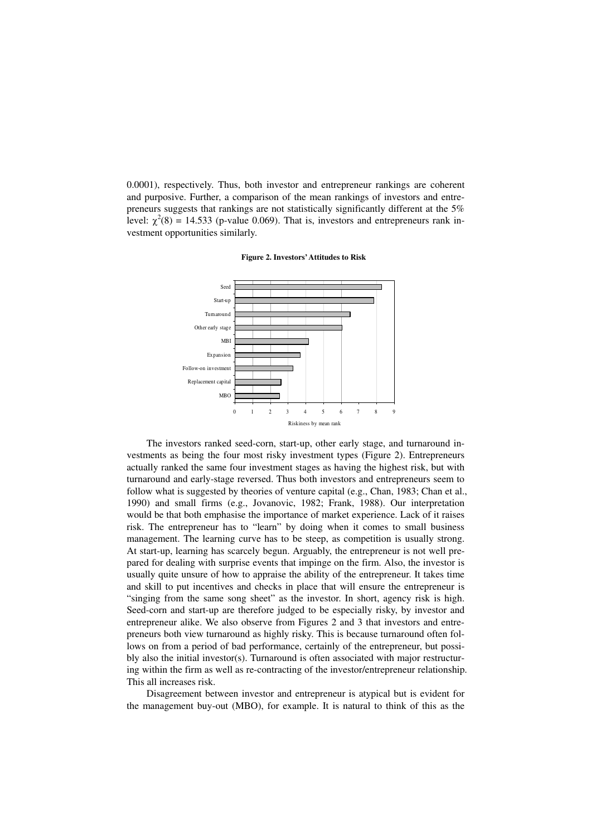0.0001), respectively. Thus, both investor and entrepreneur rankings are coherent and purposive. Further, a comparison of the mean rankings of investors and entrepreneurs suggests that rankings are not statistically significantly different at the 5% level:  $\chi^2(8) = 14.533$  (p-value 0.069). That is, investors and entrepreneurs rank investment opportunities similarly.





The investors ranked seed-corn, start-up, other early stage, and turnaround investments as being the four most risky investment types (Figure 2). Entrepreneurs actually ranked the same four investment stages as having the highest risk, but with turnaround and early-stage reversed. Thus both investors and entrepreneurs seem to follow what is suggested by theories of venture capital (e.g., Chan, 1983; Chan et al., 1990) and small firms (e.g., Jovanovic, 1982; Frank, 1988). Our interpretation would be that both emphasise the importance of market experience. Lack of it raises risk. The entrepreneur has to "learn" by doing when it comes to small business management. The learning curve has to be steep, as competition is usually strong. At start-up, learning has scarcely begun. Arguably, the entrepreneur is not well prepared for dealing with surprise events that impinge on the firm. Also, the investor is usually quite unsure of how to appraise the ability of the entrepreneur. It takes time and skill to put incentives and checks in place that will ensure the entrepreneur is "singing from the same song sheet" as the investor. In short, agency risk is high. Seed-corn and start-up are therefore judged to be especially risky, by investor and entrepreneur alike. We also observe from Figures 2 and 3 that investors and entrepreneurs both view turnaround as highly risky. This is because turnaround often follows on from a period of bad performance, certainly of the entrepreneur, but possibly also the initial investor(s). Turnaround is often associated with major restructuring within the firm as well as re-contracting of the investor/entrepreneur relationship. This all increases risk.

Disagreement between investor and entrepreneur is atypical but is evident for the management buy-out (MBO), for example. It is natural to think of this as the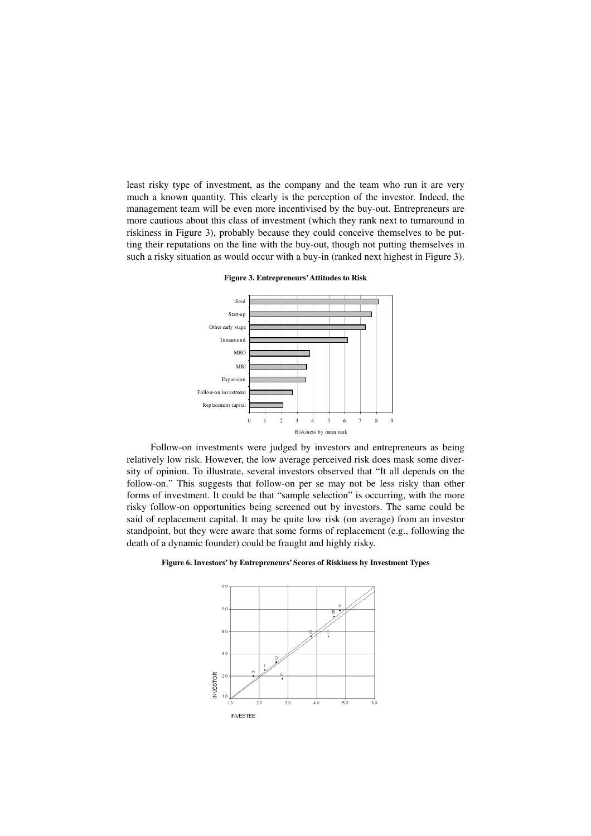least risky type of investment, as the company and the team who run it are very much a known quantity. This clearly is the perception of the investor. Indeed, the management team will be even more incentivised by the buy-out. Entrepreneurs are more cautious about this class of investment (which they rank next to turnaround in riskiness in Figure 3), probably because they could conceive themselves to be putting their reputations on the line with the buy-out, though not putting themselves in such a risky situation as would occur with a buy-in (ranked next highest in Figure 3).

Expansion MBI MBO Turnaround Other early stage Start-up Seed

Replacement capital Follow-on investmen

**Figure 3. Entrepreneurs' Attitudes to Risk** 

Follow-on investments were judged by investors and entrepreneurs as being relatively low risk. However, the low average perceived risk does mask some diversity of opinion. To illustrate, several investors observed that "It all depends on the follow-on." This suggests that follow-on per se may not be less risky than other forms of investment. It could be that "sample selection" is occurring, with the more risky follow-on opportunities being screened out by investors. The same could be said of replacement capital. It may be quite low risk (on average) from an investor standpoint, but they were aware that some forms of replacement (e.g., following the death of a dynamic founder) could be fraught and highly risky.

01 234 567 89

Riskiness by mean rank



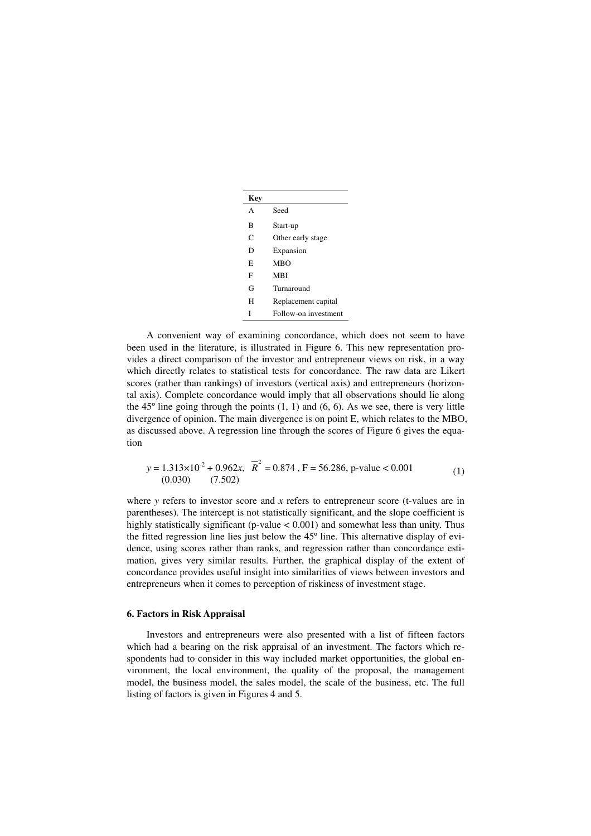| Key |                      |
|-----|----------------------|
| A   | Seed                 |
| B   | Start-up             |
| C   | Other early stage    |
| D   | Expansion            |
| E   | <b>MBO</b>           |
| F   | MBI                  |
| G   | Turnaround           |
| н   | Replacement capital  |
| T   | Follow-on investment |

A convenient way of examining concordance, which does not seem to have been used in the literature, is illustrated in Figure 6. This new representation provides a direct comparison of the investor and entrepreneur views on risk, in a way which directly relates to statistical tests for concordance. The raw data are Likert scores (rather than rankings) of investors (vertical axis) and entrepreneurs (horizontal axis). Complete concordance would imply that all observations should lie along the  $45^\circ$  line going through the points  $(1, 1)$  and  $(6, 6)$ . As we see, there is very little divergence of opinion. The main divergence is on point E, which relates to the MBO, as discussed above. A regression line through the scores of Figure 6 gives the equation

$$
y = 1.313 \times 10^{-2} + 0.962x, \quad \overline{R}^2 = 0.874, \quad F = 56.286, \quad p-value < 0.001
$$
\n
$$
(1)
$$
\n
$$
(0.030) \quad (7.502)
$$

where *y* refers to investor score and *x* refers to entrepreneur score (t-values are in parentheses). The intercept is not statistically significant, and the slope coefficient is highly statistically significant (p-value < 0.001) and somewhat less than unity. Thus the fitted regression line lies just below the 45º line. This alternative display of evidence, using scores rather than ranks, and regression rather than concordance estimation, gives very similar results. Further, the graphical display of the extent of concordance provides useful insight into similarities of views between investors and entrepreneurs when it comes to perception of riskiness of investment stage.

# **6. Factors in Risk Appraisal**

Investors and entrepreneurs were also presented with a list of fifteen factors which had a bearing on the risk appraisal of an investment. The factors which respondents had to consider in this way included market opportunities, the global environment, the local environment, the quality of the proposal, the management model, the business model, the sales model, the scale of the business, etc. The full listing of factors is given in Figures 4 and 5.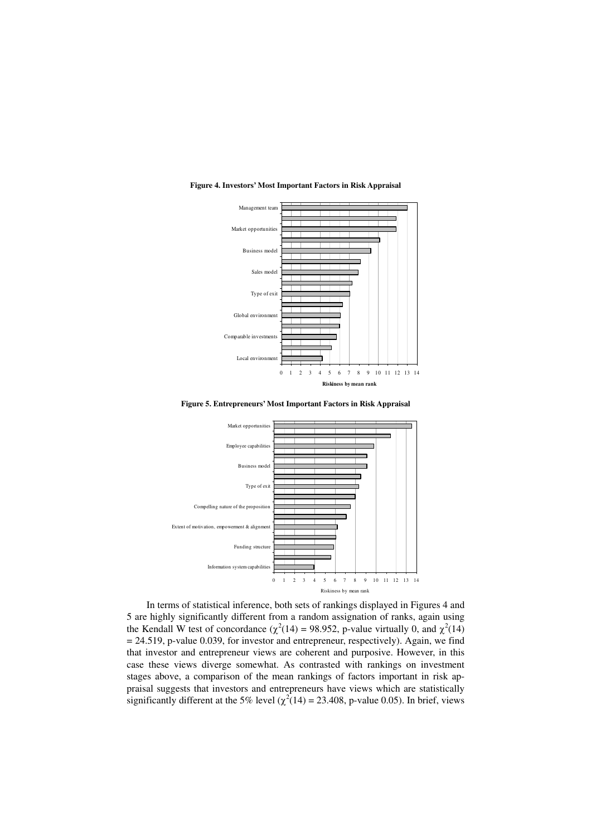

#### **Figure 4. Investors' Most Important Factors in Risk Appraisal**





In terms of statistical inference, both sets of rankings displayed in Figures 4 and 5 are highly significantly different from a random assignation of ranks, again using the Kendall W test of concordance ( $\chi^2(14) = 98.952$ , p-value virtually 0, and  $\chi^2(14)$  $= 24.519$ , p-value 0.039, for investor and entrepreneur, respectively). Again, we find that investor and entrepreneur views are coherent and purposive. However, in this case these views diverge somewhat. As contrasted with rankings on investment stages above, a comparison of the mean rankings of factors important in risk appraisal suggests that investors and entrepreneurs have views which are statistically significantly different at the 5% level ( $\chi^2(14) = 23.408$ , p-value 0.05). In brief, views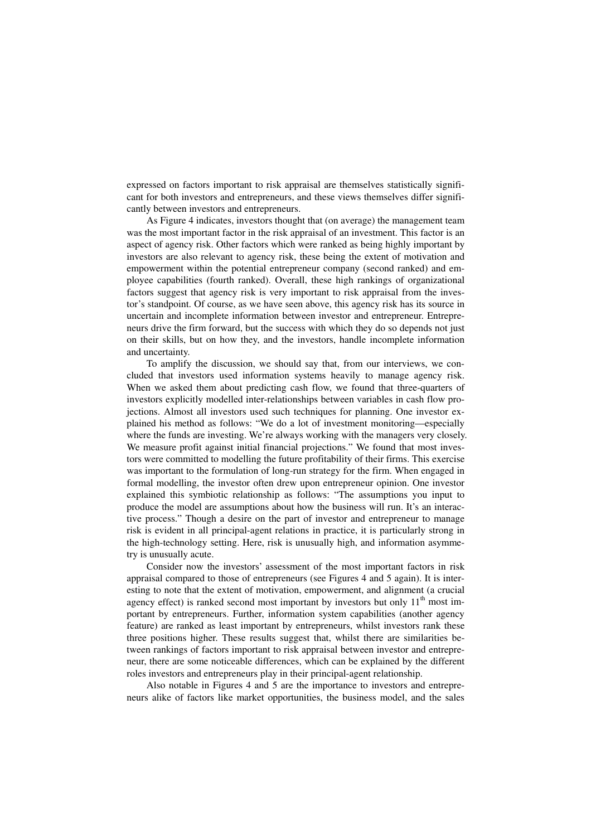expressed on factors important to risk appraisal are themselves statistically significant for both investors and entrepreneurs, and these views themselves differ significantly between investors and entrepreneurs.

As Figure 4 indicates, investors thought that (on average) the management team was the most important factor in the risk appraisal of an investment. This factor is an aspect of agency risk. Other factors which were ranked as being highly important by investors are also relevant to agency risk, these being the extent of motivation and empowerment within the potential entrepreneur company (second ranked) and employee capabilities (fourth ranked). Overall, these high rankings of organizational factors suggest that agency risk is very important to risk appraisal from the investor's standpoint. Of course, as we have seen above, this agency risk has its source in uncertain and incomplete information between investor and entrepreneur. Entrepreneurs drive the firm forward, but the success with which they do so depends not just on their skills, but on how they, and the investors, handle incomplete information and uncertainty.

To amplify the discussion, we should say that, from our interviews, we concluded that investors used information systems heavily to manage agency risk. When we asked them about predicting cash flow, we found that three-quarters of investors explicitly modelled inter-relationships between variables in cash flow projections. Almost all investors used such techniques for planning. One investor explained his method as follows: "We do a lot of investment monitoring—especially where the funds are investing. We're always working with the managers very closely. We measure profit against initial financial projections." We found that most investors were committed to modelling the future profitability of their firms. This exercise was important to the formulation of long-run strategy for the firm. When engaged in formal modelling, the investor often drew upon entrepreneur opinion. One investor explained this symbiotic relationship as follows: "The assumptions you input to produce the model are assumptions about how the business will run. It's an interactive process." Though a desire on the part of investor and entrepreneur to manage risk is evident in all principal-agent relations in practice, it is particularly strong in the high-technology setting. Here, risk is unusually high, and information asymmetry is unusually acute.

Consider now the investors' assessment of the most important factors in risk appraisal compared to those of entrepreneurs (see Figures 4 and 5 again). It is interesting to note that the extent of motivation, empowerment, and alignment (a crucial agency effect) is ranked second most important by investors but only  $11<sup>th</sup>$  most important by entrepreneurs. Further, information system capabilities (another agency feature) are ranked as least important by entrepreneurs, whilst investors rank these three positions higher. These results suggest that, whilst there are similarities between rankings of factors important to risk appraisal between investor and entrepreneur, there are some noticeable differences, which can be explained by the different roles investors and entrepreneurs play in their principal-agent relationship.

Also notable in Figures 4 and 5 are the importance to investors and entrepreneurs alike of factors like market opportunities, the business model, and the sales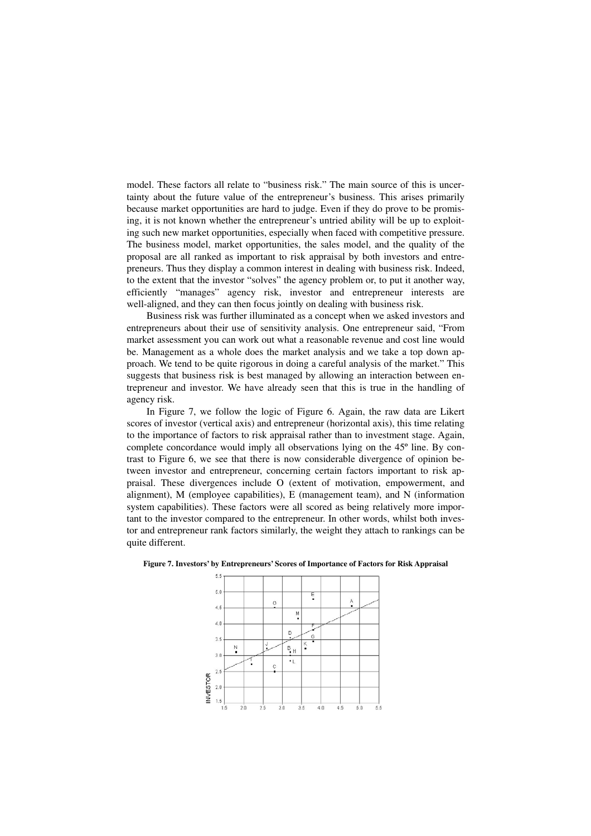model. These factors all relate to "business risk." The main source of this is uncertainty about the future value of the entrepreneur's business. This arises primarily because market opportunities are hard to judge. Even if they do prove to be promising, it is not known whether the entrepreneur's untried ability will be up to exploiting such new market opportunities, especially when faced with competitive pressure. The business model, market opportunities, the sales model, and the quality of the proposal are all ranked as important to risk appraisal by both investors and entrepreneurs. Thus they display a common interest in dealing with business risk. Indeed, to the extent that the investor "solves" the agency problem or, to put it another way, efficiently "manages" agency risk, investor and entrepreneur interests are well-aligned, and they can then focus jointly on dealing with business risk.

Business risk was further illuminated as a concept when we asked investors and entrepreneurs about their use of sensitivity analysis. One entrepreneur said, "From market assessment you can work out what a reasonable revenue and cost line would be. Management as a whole does the market analysis and we take a top down approach. We tend to be quite rigorous in doing a careful analysis of the market." This suggests that business risk is best managed by allowing an interaction between entrepreneur and investor. We have already seen that this is true in the handling of agency risk.

In Figure 7, we follow the logic of Figure 6. Again, the raw data are Likert scores of investor (vertical axis) and entrepreneur (horizontal axis), this time relating to the importance of factors to risk appraisal rather than to investment stage. Again, complete concordance would imply all observations lying on the 45º line. By contrast to Figure 6, we see that there is now considerable divergence of opinion between investor and entrepreneur, concerning certain factors important to risk appraisal. These divergences include O (extent of motivation, empowerment, and alignment), M (employee capabilities), E (management team), and N (information system capabilities). These factors were all scored as being relatively more important to the investor compared to the entrepreneur. In other words, whilst both investor and entrepreneur rank factors similarly, the weight they attach to rankings can be quite different.



**Figure 7. Investors' by Entrepreneurs' Scores of Importance of Factors for Risk Appraisal**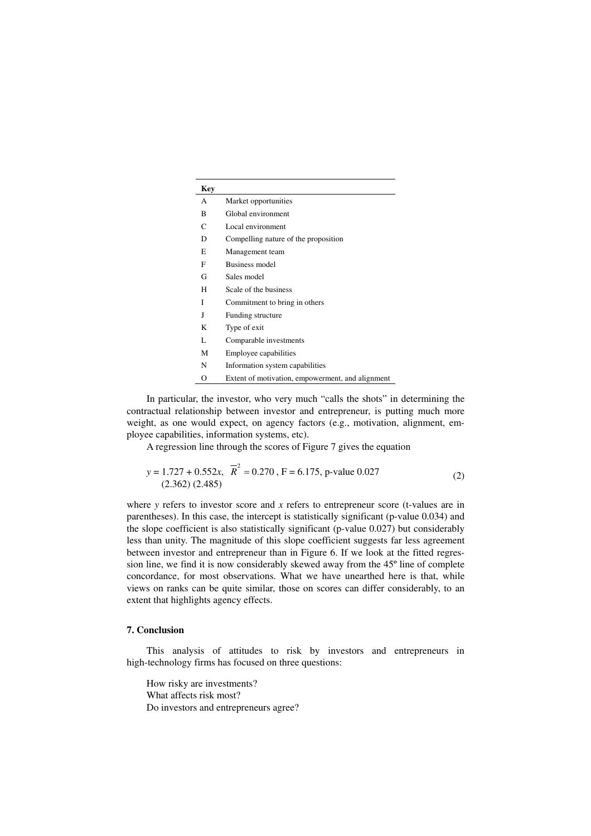| <b>Key</b> |                                                  |
|------------|--------------------------------------------------|
| A          | Market opportunities                             |
| B          | Global environment                               |
| C          | Local environment                                |
| D          | Compelling nature of the proposition             |
| E          | Management team                                  |
| F          | Business model                                   |
| G          | Sales model                                      |
| н          | Scale of the business                            |
| I          | Commitment to bring in others                    |
| J          | Funding structure                                |
| K          | Type of exit                                     |
| L          | Comparable investments                           |
| М          | Employee capabilities                            |
| N          | Information system capabilities                  |
| O          | Extent of motivation, empowerment, and alignment |

In particular, the investor, who very much "calls the shots" in determining the contractual relationship between investor and entrepreneur, is putting much more weight, as one would expect, on agency factors (e.g., motivation, alignment, employee capabilities, information systems, etc).

A regression line through the scores of Figure 7 gives the equation

$$
y = 1.727 + 0.552x, \quad \overline{R}^2 = 0.270, \quad F = 6.175, \quad p-value 0.027
$$
\n
$$
(2.362) (2.485)
$$

where *y* refers to investor score and *x* refers to entrepreneur score (t-values are in parentheses). In this case, the intercept is statistically significant (p-value 0.034) and the slope coefficient is also statistically significant (p-value 0.027) but considerably less than unity. The magnitude of this slope coefficient suggests far less agreement between investor and entrepreneur than in Figure 6. If we look at the fitted regression line, we find it is now considerably skewed away from the 45º line of complete concordance, for most observations. What we have unearthed here is that, while views on ranks can be quite similar, those on scores can differ considerably, to an extent that highlights agency effects.

# **7. Conclusion**

This analysis of attitudes to risk by investors and entrepreneurs in high-technology firms has focused on three questions:

How risky are investments? What affects risk most? Do investors and entrepreneurs agree?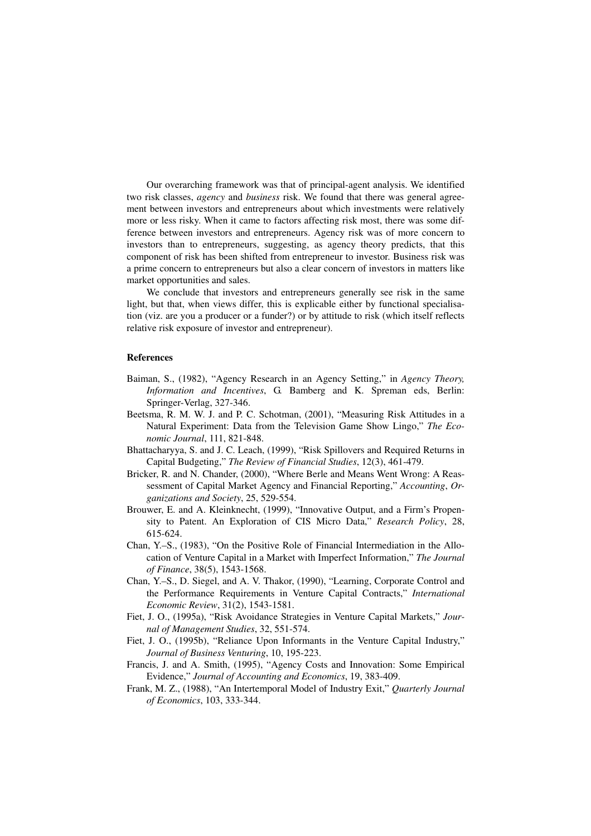Our overarching framework was that of principal-agent analysis. We identified two risk classes, *agency* and *business* risk. We found that there was general agreement between investors and entrepreneurs about which investments were relatively more or less risky. When it came to factors affecting risk most, there was some difference between investors and entrepreneurs. Agency risk was of more concern to investors than to entrepreneurs, suggesting, as agency theory predicts, that this component of risk has been shifted from entrepreneur to investor. Business risk was a prime concern to entrepreneurs but also a clear concern of investors in matters like market opportunities and sales.

We conclude that investors and entrepreneurs generally see risk in the same light, but that, when views differ, this is explicable either by functional specialisation (viz. are you a producer or a funder?) or by attitude to risk (which itself reflects relative risk exposure of investor and entrepreneur).

#### **References**

- Baiman, S., (1982), "Agency Research in an Agency Setting," in *Agency Theory, Information and Incentives*, G. Bamberg and K. Spreman eds, Berlin: Springer-Verlag, 327-346.
- Beetsma, R. M. W. J. and P. C. Schotman, (2001), "Measuring Risk Attitudes in a Natural Experiment: Data from the Television Game Show Lingo," *The Economic Journal*, 111, 821-848.
- Bhattacharyya, S. and J. C. Leach, (1999), "Risk Spillovers and Required Returns in Capital Budgeting," *The Review of Financial Studies*, 12(3), 461-479.
- Bricker, R. and N. Chander, (2000), "Where Berle and Means Went Wrong: A Reassessment of Capital Market Agency and Financial Reporting," *Accounting*, *Organizations and Society*, 25, 529-554.
- Brouwer, E. and A. Kleinknecht, (1999), "Innovative Output, and a Firm's Propensity to Patent. An Exploration of CIS Micro Data," *Research Policy*, 28, 615-624.
- Chan, Y.–S., (1983), "On the Positive Role of Financial Intermediation in the Allocation of Venture Capital in a Market with Imperfect Information," *The Journal of Finance*, 38(5), 1543-1568.
- Chan, Y.–S., D. Siegel, and A. V. Thakor, (1990), "Learning, Corporate Control and the Performance Requirements in Venture Capital Contracts," *International Economic Review*, 31(2), 1543-1581.
- Fiet, J. O., (1995a), "Risk Avoidance Strategies in Venture Capital Markets," *Journal of Management Studies*, 32, 551-574.
- Fiet, J. O., (1995b), "Reliance Upon Informants in the Venture Capital Industry," *Journal of Business Venturing*, 10, 195-223.
- Francis, J. and A. Smith, (1995), "Agency Costs and Innovation: Some Empirical Evidence," *Journal of Accounting and Economics*, 19, 383-409.
- Frank, M. Z., (1988), "An Intertemporal Model of Industry Exit," *Quarterly Journal of Economics*, 103, 333-344.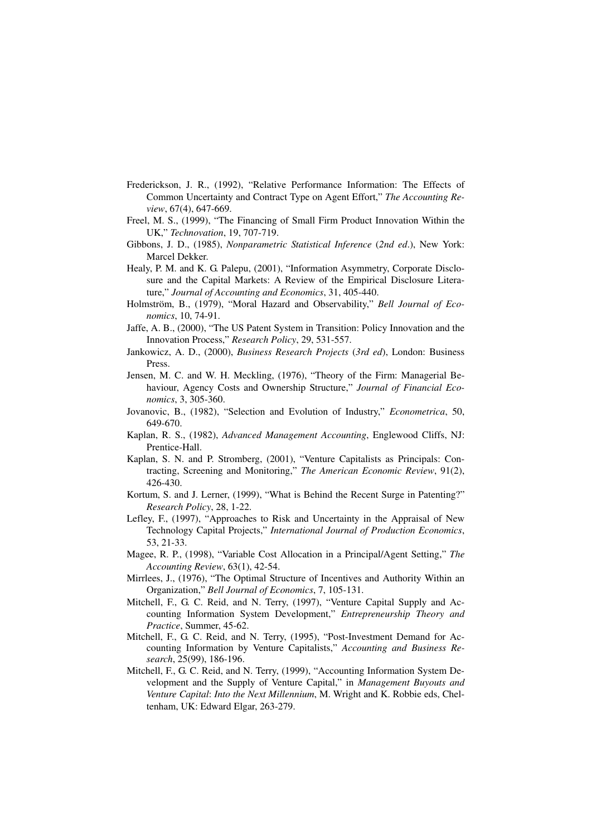- Frederickson, J. R., (1992), "Relative Performance Information: The Effects of Common Uncertainty and Contract Type on Agent Effort," *The Accounting Review*, 67(4), 647-669.
- Freel, M. S., (1999), "The Financing of Small Firm Product Innovation Within the UK," *Technovation*, 19, 707-719.
- Gibbons, J. D., (1985), *Nonparametric Statistical Inference* (*2nd ed*.), New York: Marcel Dekker.
- Healy, P. M. and K. G. Palepu, (2001), "Information Asymmetry, Corporate Disclosure and the Capital Markets: A Review of the Empirical Disclosure Literature," *Journal of Accounting and Economics*, 31, 405-440.
- Holmström, B., (1979), "Moral Hazard and Observability," *Bell Journal of Economics*, 10, 74-91.
- Jaffe, A. B., (2000), "The US Patent System in Transition: Policy Innovation and the Innovation Process," *Research Policy*, 29, 531-557.
- Jankowicz, A. D., (2000), *Business Research Projects* (*3rd ed*), London: Business Press.
- Jensen, M. C. and W. H. Meckling, (1976), "Theory of the Firm: Managerial Behaviour, Agency Costs and Ownership Structure," *Journal of Financial Economics*, 3, 305-360.
- Jovanovic, B., (1982), "Selection and Evolution of Industry," *Econometrica*, 50, 649-670.
- Kaplan, R. S., (1982), *Advanced Management Accounting*, Englewood Cliffs, NJ: Prentice-Hall.
- Kaplan, S. N. and P. Stromberg, (2001), "Venture Capitalists as Principals: Contracting, Screening and Monitoring," *The American Economic Review*, 91(2), 426-430.
- Kortum, S. and J. Lerner, (1999), "What is Behind the Recent Surge in Patenting?" *Research Policy*, 28, 1-22.
- Lefley, F., (1997), "Approaches to Risk and Uncertainty in the Appraisal of New Technology Capital Projects," *International Journal of Production Economics*, 53, 21-33.
- Magee, R. P., (1998), "Variable Cost Allocation in a Principal/Agent Setting," *The Accounting Review*, 63(1), 42-54.
- Mirrlees, J., (1976), "The Optimal Structure of Incentives and Authority Within an Organization," *Bell Journal of Economics*, 7, 105-131.
- Mitchell, F., G. C. Reid, and N. Terry, (1997), "Venture Capital Supply and Accounting Information System Development," *Entrepreneurship Theory and Practice*, Summer, 45-62.
- Mitchell, F., G. C. Reid, and N. Terry, (1995), "Post-Investment Demand for Accounting Information by Venture Capitalists," *Accounting and Business Research*, 25(99), 186-196.
- Mitchell, F., G. C. Reid, and N. Terry, (1999), "Accounting Information System Development and the Supply of Venture Capital," in *Management Buyouts and Venture Capital*: *Into the Next Millennium*, M. Wright and K. Robbie eds, Cheltenham, UK: Edward Elgar, 263-279.